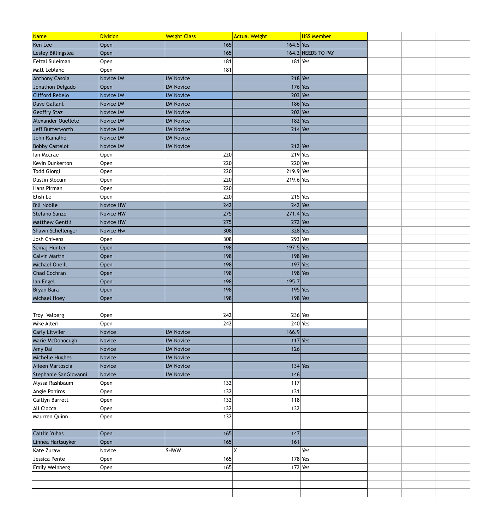| Name                   | <b>Division</b> | <b>Weight Class</b> | <b>Actual Weight</b> | <b>USS Member</b>  |  |  |
|------------------------|-----------------|---------------------|----------------------|--------------------|--|--|
| Ken Lee                | Open            | 165                 | $164.5$ Yes          |                    |  |  |
| Lesley Billingslea     | Open            | 165                 |                      | 164.2 NEEDS TO PAY |  |  |
| Feizal Suleiman        | Open            | 181                 |                      | $181$ Yes          |  |  |
| Matt Leblanc           | Open            | 181                 |                      |                    |  |  |
| <b>Anthony Casola</b>  | Novice LW       | <b>LW Novice</b>    |                      | $218$ Yes          |  |  |
| Jonathon Delgado       | Open            | <b>LW Novice</b>    |                      | $176$ Yes          |  |  |
| <b>Clifford Rebelo</b> | Novice LW       | <b>LW Novice</b>    |                      | $203$ Yes          |  |  |
| Dave Gallant           | Novice LW       | <b>LW Novice</b>    |                      | $186$ Yes          |  |  |
| <b>Geoffry Staz</b>    | Novice LW       | <b>LW Novice</b>    |                      | $202$ Yes          |  |  |
| Alexander Ouellete     | Novice LW       | <b>LW Novice</b>    |                      | $182$ Yes          |  |  |
| Jeff Butterworth       | Novice LW       | <b>LW Novice</b>    |                      | $214$ Yes          |  |  |
| John Ramalho           | Novice LW       | <b>LW Novice</b>    |                      |                    |  |  |
| <b>Bobby Castelot</b>  | Novice LW       | <b>LW Novice</b>    |                      | $212$ Yes          |  |  |
| Ian Mccrae             | Open            | 220                 |                      | $219$ Yes          |  |  |
| Kevin Dunkerton        | Open            | 220                 |                      | $220$ Yes          |  |  |
| Todd Giorgi            | Open            | 220                 | $219.9$ Yes          |                    |  |  |
| Dustin Slocum          | Open            | 220                 | $219.6$ Yes          |                    |  |  |
| Hans Pirman            | Open            | 220                 |                      |                    |  |  |
| Elish Le               | Open            | 220                 |                      | $215$ Yes          |  |  |
| <b>Bill Nobile</b>     | Novice HW       | 242                 |                      | $242$ Yes          |  |  |
| Stefano Sanzo          | Novice HW       | 275                 | $271.4$ Yes          |                    |  |  |
| <b>Matthew Gentili</b> | Novice HW       | 275                 |                      | $272$ Yes          |  |  |
| Shawn Schellenger      | Novice Hw       | 308                 |                      | $328$ Yes          |  |  |
| Josh Chivens           | Open            | 308                 |                      | $293$ Yes          |  |  |
| Semaj Hunter           | Open            | 198                 | $197.5$ Yes          |                    |  |  |
| <b>Calvin Martin</b>   | Open            | 198                 |                      | $198$ Yes          |  |  |
| Michael Oneill         | Open            | 198                 |                      | $197$ Yes          |  |  |
| <b>Chad Cochran</b>    | Open            | 198                 |                      | $198$ Yes          |  |  |
| lan Engel              | Open            | 198                 | 195.7                |                    |  |  |
| Bryan Bara             | Open            | 198                 |                      | $195$ Yes          |  |  |
| Michael Hoey           | Open            | 198                 |                      | $198$ Yes          |  |  |
|                        |                 |                     |                      |                    |  |  |
| Troy Valberg           | Open            | 242                 |                      | $236$ Yes          |  |  |
| Mike Alteri            | Open            | 242                 |                      | $240$ Yes          |  |  |
| <b>Carly Litwiler</b>  | Novice          | <b>LW Novice</b>    | 166.9                |                    |  |  |
| Marie McDonocugh       | Novice          | LW Novice           |                      | $117$ Yes          |  |  |
| Amy Dai                | Novice          | <b>LW Novice</b>    | 126                  |                    |  |  |
| Michelle Hughes        | Novice          | <b>LW Novice</b>    |                      |                    |  |  |
| Aileen Martoscia       | Novice          | <b>LW Novice</b>    |                      | $134$ Yes          |  |  |
| Stephanie SanGiovanni  | Novice          | LW Novice           | 146                  |                    |  |  |
| Alyssa Rashbaum        | Open            | 132                 | 117                  |                    |  |  |
| Angie Poniros          | Open            | 132                 | 131                  |                    |  |  |
| Caitlyn Barrett        | Open            | 132                 | 118                  |                    |  |  |
| Ali Ciocca             | Open            | 132                 | 132                  |                    |  |  |
| Maurren Quinn          | Open            | 132                 |                      |                    |  |  |
|                        |                 |                     |                      |                    |  |  |
| <b>Caitlin Yuhas</b>   | Open            | 165                 | 147                  |                    |  |  |
| Linnea Hartsuyker      | Open            | 165                 | 161                  |                    |  |  |
| Kate Zuraw             | Novice          | <b>SHWW</b>         | X                    | Yes                |  |  |
| Jessica Pente          | Open            | 165                 |                      | $178$ Yes          |  |  |
| Emily Weinberg         | Open            | 165                 |                      | $172$ Yes          |  |  |
|                        |                 |                     |                      |                    |  |  |
|                        |                 |                     |                      |                    |  |  |
|                        |                 |                     |                      |                    |  |  |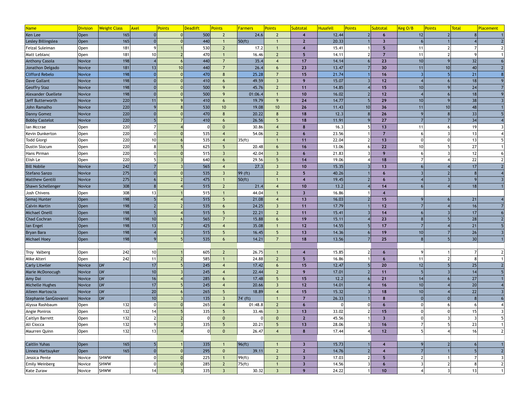| 500<br>24.6<br>Open<br>165<br>$\overline{2}$<br>12.44<br>$\overline{2}$<br>12<br>6<br>$\blacktriangle$<br>Lesley Billingslea<br>440<br>50 (ft)<br>20.33<br>Open<br>165<br>$\overline{2}$<br>3<br>Feizal Suleiman<br>181<br>530<br>17.2<br>15.41<br>Open<br>11<br>5<br>181<br>10 <sup>1</sup><br>470<br>Matt Leblanc<br>16.46<br>$\overline{2}$<br>5<br>14.11<br> Open<br>11<br>32<br>198<br>Novice<br>440<br>35.4<br>17<br>23<br><b>Anthony Casola</b><br>14.14<br>10<br>181<br>13<br>440<br>Novice<br>26.4<br>23<br>13.47<br>30<br>10<br>40<br>Jonathon Delgado<br>6<br>11<br>198<br>470<br>21<br><b>Clifford Rebelo</b><br>25.28<br>$\overline{7}$<br>15<br>21.74<br>Novice<br>16<br>$\Omega$<br>8<br>198<br>410<br>49.59<br>15.07<br>18<br>Dave Gallant<br>Novice<br>$12$<br>$\mathcal{R}$<br>9<br>6<br>198<br>500<br>24<br><b>Geoffry Staz</b><br>Novice<br>45.76<br>14.85<br>11<br>15<br>9<br>$\overline{2}$<br>10<br>198<br>500<br>16.02<br>18<br>Alexander Ouellete<br>Novice<br>01:06.4<br>10<br>$12$<br>9<br>220<br>38<br>410<br>Novice<br>14.77<br>29<br>Jeff Butterworth<br>11<br>19.79<br>9<br>24<br>10<br>6<br>220<br>530<br>48<br>19.08<br>10 <sup>°</sup><br>26<br>10<br>John Ramalho<br>Novice<br>10 <sup>°</sup><br>11.43<br>10 <sup>1</sup><br>36<br>11<br>220<br>470<br>33<br>18<br>26<br>Danny Gomez<br>20.22<br>12.3<br>Novice<br>8<br>8<br>220<br>410<br>34<br>26.56<br>11.91<br>27<br><b>Bobby Castelot</b><br>Novice<br>18<br>$5\phantom{.}$<br>6<br>220<br>30.86<br>16.3<br>19<br>Open<br>13<br>Ian Mccrae<br>$\overline{0}$<br>8<br>220<br>535<br>54.06<br>$2 \overline{ }$<br>23.56<br>13<br>Kevin Dunkerton<br> Open<br>$6 \overline{6}$<br>220<br>10 <sup>1</sup><br>535<br>22.04<br>35 (ft)<br>Todd Giorgi<br>Open <br>$11$<br>13<br>13<br>220<br>20.48<br>27<br>625<br>16<br>13.06<br>22<br>Dustin Slocum<br>Open<br>10<br>8 <sup>1</sup><br>6<br>.5.<br>220<br>12<br>515<br>42.04<br>21.83<br>Hans Pirman<br>$\overline{3}$<br> Open<br>3<br>$6\overline{6}$<br>9<br>220<br>22<br>640<br>29.56<br>19.06<br>Elish Le<br>14<br>18<br>Open<br>5<br>6<br><b>Bill Nobile</b><br>242<br>565<br>27.3<br>17<br>Novice<br>15.35<br>10<br>13<br>$\overline{3}$<br>275<br>535<br>$99$ (ft)<br>40.26<br>Stefano Sanzo<br>Novice<br>ຳ<br>5<br>6<br>275<br><b>Matthew Gentili</b><br>Novice<br>475<br> 50(ft) <br>19.45<br>$\Omega$<br>$\overline{1}$<br>$\bullet$<br>308<br>515<br>Shawn Schellenger<br>Novice<br>21.4<br>13.2<br>18<br>10<br>14<br>$\overline{2}$<br>308<br>13<br>Josh Chivens<br>515<br>16.86<br>44.04<br> Open <br>$\overline{\mathbf{3}}$<br>515<br>198<br>21<br>Semaj Hunter<br>Open<br>21.08<br>13<br>16.03<br>15<br>$\boldsymbol{4}$<br>535<br>198<br><b>Calvin Martin</b><br>Open<br>24.25<br>$11$<br>17.79<br>16<br>12<br>$\overline{3}$<br>6<br>17<br>198<br>515<br>Michael Oneill<br>22.21<br>2 <sup>2</sup><br>$11$<br>15.41<br>14<br>Open<br>28<br>198<br>10 <sup>1</sup><br>565<br>Open<br>15.11<br><b>Chad Cochran</b><br>15.88<br>19<br>23<br>$\overline{7}$<br>6<br>198<br>13<br>425<br>$12$<br>21<br>lan Engel<br>Open<br>35.08<br>14.55<br>17<br>26<br>198<br>515<br>16.45<br>13<br>19<br>10<br><b>Bryan Bara</b><br>Open<br>$\overline{5}$<br>14.36<br>5<br>30<br>535<br>198<br>Michael Hoey<br>14.21<br>13.56<br>Open<br>18<br>25<br>6<br>242<br>10 <sup>1</sup><br>605<br>26.75<br>15.85<br> Open<br>$\overline{2}$<br>$\blacktriangle$<br>6<br>242<br>Mike Alteri<br>11<br>585<br>24.88<br>16.86<br>Open <br>$2 \overline{ }$<br>5<br>11<br>O<br><b>LW</b><br>245<br>25<br>Novice<br>17<br>12.47<br>12<br>17.42<br>15<br>20<br>6<br>245<br><b>LW</b><br>10 <sup>1</sup><br>22.44<br>2 <sup>2</sup><br>Novice<br>9<br>17.01<br>$11$<br>14<br>27<br>285<br><b>LW</b><br>16<br>Novice<br>17.48<br>15<br>12.2<br>21<br>.5<br>14<br>6<br>20<br>LW<br>17<br>245<br>Novice<br>20.66<br>$12$<br>14.01<br>16<br>10<br>$\overline{3}$<br>22<br>LW<br>20<br>265<br>15.32<br>18.89<br>15<br>Novice<br>18<br>10<br>10<br>135<br>Novice<br><b>ILW</b><br>$74$ (ft)<br>26.33<br>$\overline{3}$<br>$\overline{7}$<br>132<br>265<br>Open<br>01:48.8<br>2 <sup>2</sup><br> 0 <br>$6\overline{6}$<br>$\boldsymbol{A}$<br>6<br>6<br>132<br>335<br>33.02<br>14<br>33.46<br>13<br>15<br>$\overline{3}$<br>15<br> Open<br>5<br>$\Omega$<br>132<br>45.56<br>Open <br>$\mathbf{0}$<br>$\overline{0}$<br>$\overline{2}$<br>23<br>132<br>335<br>Ali Ciocca<br>20.21<br>28.06<br>Open<br>13<br>16<br>5<br>132<br>13<br>26.47<br>17.44<br>16<br>12<br> Open<br> 0 <br>$\mathbf{0}$<br>8<br>Open<br>165<br>335<br> 96(ft) <br>15.73<br>$\overline{\mathbf{3}}$<br>$\boldsymbol{4}$<br>165<br>295<br>39.11<br>Open<br>$2\overline{ }$<br>$\mathbf{0}$<br>$\overline{2}$<br>14.76<br> 0 <br>$\overline{\mathcal{L}}$<br><b>SHWW</b><br>225<br>99 (ft)<br>17.03<br>Jessica Pente<br>Novice<br>$2 \overline{ }$<br>$\overline{\mathbf{3}}$<br>$\overline{2}$<br>5<br><b>SHWW</b><br>285<br>14.56<br>Novice<br>$\overline{2}$<br>75 (ft)<br>$\overline{\mathbf{3}}$<br>6<br><b>SHWW</b><br>335<br>30.32<br>13<br>24.22<br>14<br>$\overline{3}$<br>9 <sup>°</sup><br>10<br>Novice<br>$\mathbf{3}$ | <b>Name</b>           | <b>Division</b> | <b>Weight Class</b> | <b>Axel</b> | <b>Points</b> | <b>Deadlift</b> | <b>Points</b> | <b>Farmers</b> | <b>Points</b> | Subtotal | Points<br><b>Husafell</b> | Subtotal | Keg O/B | Points | <b>Total</b><br><mark>Placement</mark> |
|-------------------------------------------------------------------------------------------------------------------------------------------------------------------------------------------------------------------------------------------------------------------------------------------------------------------------------------------------------------------------------------------------------------------------------------------------------------------------------------------------------------------------------------------------------------------------------------------------------------------------------------------------------------------------------------------------------------------------------------------------------------------------------------------------------------------------------------------------------------------------------------------------------------------------------------------------------------------------------------------------------------------------------------------------------------------------------------------------------------------------------------------------------------------------------------------------------------------------------------------------------------------------------------------------------------------------------------------------------------------------------------------------------------------------------------------------------------------------------------------------------------------------------------------------------------------------------------------------------------------------------------------------------------------------------------------------------------------------------------------------------------------------------------------------------------------------------------------------------------------------------------------------------------------------------------------------------------------------------------------------------------------------------------------------------------------------------------------------------------------------------------------------------------------------------------------------------------------------------------------------------------------------------------------------------------------------------------------------------------------------------------------------------------------------------------------------------------------------------------------------------------------------------------------------------------------------------------------------------------------------------------------------------------------------------------------------------------------------------------------------------------------------------------------------------------------------------------------------------------------------------------------------------------------------------------------------------------------------------------------------------------------------------------------------------------------------------------------------------------------------------------------------------------------------------------------------------------------------------------------------------------------------------------------------------------------------------------------------------------------------------------------------------------------------------------------------------------------------------------------------------------------------------------------------------------------------------------------------------------------------------------------------------------------------------------------------------------------------------------------------------------------------------------------------------------------------------------------------------------------------------------------------------------------------------------------------------------------------------------------------------------------------------------------------------------------------------------------------------------------------------------------------------------------------------------------------------------------------------------------------------------------------------------------------------------------------------------------------------------------------------------------------------------------------------------------------------------------------------------------------------------------------------------------------------------------------------------------------------------------------------------------------------------------------------------------------------------------------------------------------------------------------------------------------------------------------------------------------------------------------------------------------------------------------------------------------------------------------------------------------------------------------------------------------------------------------------------------------------------------------|-----------------------|-----------------|---------------------|-------------|---------------|-----------------|---------------|----------------|---------------|----------|---------------------------|----------|---------|--------|----------------------------------------|
|                                                                                                                                                                                                                                                                                                                                                                                                                                                                                                                                                                                                                                                                                                                                                                                                                                                                                                                                                                                                                                                                                                                                                                                                                                                                                                                                                                                                                                                                                                                                                                                                                                                                                                                                                                                                                                                                                                                                                                                                                                                                                                                                                                                                                                                                                                                                                                                                                                                                                                                                                                                                                                                                                                                                                                                                                                                                                                                                                                                                                                                                                                                                                                                                                                                                                                                                                                                                                                                                                                                                                                                                                                                                                                                                                                                                                                                                                                                                                                                                                                                                                                                                                                                                                                                                                                                                                                                                                                                                                                                                                                                                                                                                                                                                                                                                                                                                                                                                                                                                                                                                                                                         | Ken Lee               |                 |                     |             |               |                 |               |                |               |          |                           |          |         |        |                                        |
|                                                                                                                                                                                                                                                                                                                                                                                                                                                                                                                                                                                                                                                                                                                                                                                                                                                                                                                                                                                                                                                                                                                                                                                                                                                                                                                                                                                                                                                                                                                                                                                                                                                                                                                                                                                                                                                                                                                                                                                                                                                                                                                                                                                                                                                                                                                                                                                                                                                                                                                                                                                                                                                                                                                                                                                                                                                                                                                                                                                                                                                                                                                                                                                                                                                                                                                                                                                                                                                                                                                                                                                                                                                                                                                                                                                                                                                                                                                                                                                                                                                                                                                                                                                                                                                                                                                                                                                                                                                                                                                                                                                                                                                                                                                                                                                                                                                                                                                                                                                                                                                                                                                         |                       |                 |                     |             |               |                 |               |                |               |          |                           |          |         |        |                                        |
|                                                                                                                                                                                                                                                                                                                                                                                                                                                                                                                                                                                                                                                                                                                                                                                                                                                                                                                                                                                                                                                                                                                                                                                                                                                                                                                                                                                                                                                                                                                                                                                                                                                                                                                                                                                                                                                                                                                                                                                                                                                                                                                                                                                                                                                                                                                                                                                                                                                                                                                                                                                                                                                                                                                                                                                                                                                                                                                                                                                                                                                                                                                                                                                                                                                                                                                                                                                                                                                                                                                                                                                                                                                                                                                                                                                                                                                                                                                                                                                                                                                                                                                                                                                                                                                                                                                                                                                                                                                                                                                                                                                                                                                                                                                                                                                                                                                                                                                                                                                                                                                                                                                         |                       |                 |                     |             |               |                 |               |                |               |          |                           |          |         |        |                                        |
|                                                                                                                                                                                                                                                                                                                                                                                                                                                                                                                                                                                                                                                                                                                                                                                                                                                                                                                                                                                                                                                                                                                                                                                                                                                                                                                                                                                                                                                                                                                                                                                                                                                                                                                                                                                                                                                                                                                                                                                                                                                                                                                                                                                                                                                                                                                                                                                                                                                                                                                                                                                                                                                                                                                                                                                                                                                                                                                                                                                                                                                                                                                                                                                                                                                                                                                                                                                                                                                                                                                                                                                                                                                                                                                                                                                                                                                                                                                                                                                                                                                                                                                                                                                                                                                                                                                                                                                                                                                                                                                                                                                                                                                                                                                                                                                                                                                                                                                                                                                                                                                                                                                         |                       |                 |                     |             |               |                 |               |                |               |          |                           |          |         |        |                                        |
|                                                                                                                                                                                                                                                                                                                                                                                                                                                                                                                                                                                                                                                                                                                                                                                                                                                                                                                                                                                                                                                                                                                                                                                                                                                                                                                                                                                                                                                                                                                                                                                                                                                                                                                                                                                                                                                                                                                                                                                                                                                                                                                                                                                                                                                                                                                                                                                                                                                                                                                                                                                                                                                                                                                                                                                                                                                                                                                                                                                                                                                                                                                                                                                                                                                                                                                                                                                                                                                                                                                                                                                                                                                                                                                                                                                                                                                                                                                                                                                                                                                                                                                                                                                                                                                                                                                                                                                                                                                                                                                                                                                                                                                                                                                                                                                                                                                                                                                                                                                                                                                                                                                         |                       |                 |                     |             |               |                 |               |                |               |          |                           |          |         |        |                                        |
|                                                                                                                                                                                                                                                                                                                                                                                                                                                                                                                                                                                                                                                                                                                                                                                                                                                                                                                                                                                                                                                                                                                                                                                                                                                                                                                                                                                                                                                                                                                                                                                                                                                                                                                                                                                                                                                                                                                                                                                                                                                                                                                                                                                                                                                                                                                                                                                                                                                                                                                                                                                                                                                                                                                                                                                                                                                                                                                                                                                                                                                                                                                                                                                                                                                                                                                                                                                                                                                                                                                                                                                                                                                                                                                                                                                                                                                                                                                                                                                                                                                                                                                                                                                                                                                                                                                                                                                                                                                                                                                                                                                                                                                                                                                                                                                                                                                                                                                                                                                                                                                                                                                         |                       |                 |                     |             |               |                 |               |                |               |          |                           |          |         |        |                                        |
|                                                                                                                                                                                                                                                                                                                                                                                                                                                                                                                                                                                                                                                                                                                                                                                                                                                                                                                                                                                                                                                                                                                                                                                                                                                                                                                                                                                                                                                                                                                                                                                                                                                                                                                                                                                                                                                                                                                                                                                                                                                                                                                                                                                                                                                                                                                                                                                                                                                                                                                                                                                                                                                                                                                                                                                                                                                                                                                                                                                                                                                                                                                                                                                                                                                                                                                                                                                                                                                                                                                                                                                                                                                                                                                                                                                                                                                                                                                                                                                                                                                                                                                                                                                                                                                                                                                                                                                                                                                                                                                                                                                                                                                                                                                                                                                                                                                                                                                                                                                                                                                                                                                         |                       |                 |                     |             |               |                 |               |                |               |          |                           |          |         |        |                                        |
|                                                                                                                                                                                                                                                                                                                                                                                                                                                                                                                                                                                                                                                                                                                                                                                                                                                                                                                                                                                                                                                                                                                                                                                                                                                                                                                                                                                                                                                                                                                                                                                                                                                                                                                                                                                                                                                                                                                                                                                                                                                                                                                                                                                                                                                                                                                                                                                                                                                                                                                                                                                                                                                                                                                                                                                                                                                                                                                                                                                                                                                                                                                                                                                                                                                                                                                                                                                                                                                                                                                                                                                                                                                                                                                                                                                                                                                                                                                                                                                                                                                                                                                                                                                                                                                                                                                                                                                                                                                                                                                                                                                                                                                                                                                                                                                                                                                                                                                                                                                                                                                                                                                         |                       |                 |                     |             |               |                 |               |                |               |          |                           |          |         |        |                                        |
|                                                                                                                                                                                                                                                                                                                                                                                                                                                                                                                                                                                                                                                                                                                                                                                                                                                                                                                                                                                                                                                                                                                                                                                                                                                                                                                                                                                                                                                                                                                                                                                                                                                                                                                                                                                                                                                                                                                                                                                                                                                                                                                                                                                                                                                                                                                                                                                                                                                                                                                                                                                                                                                                                                                                                                                                                                                                                                                                                                                                                                                                                                                                                                                                                                                                                                                                                                                                                                                                                                                                                                                                                                                                                                                                                                                                                                                                                                                                                                                                                                                                                                                                                                                                                                                                                                                                                                                                                                                                                                                                                                                                                                                                                                                                                                                                                                                                                                                                                                                                                                                                                                                         |                       |                 |                     |             |               |                 |               |                |               |          |                           |          |         |        |                                        |
|                                                                                                                                                                                                                                                                                                                                                                                                                                                                                                                                                                                                                                                                                                                                                                                                                                                                                                                                                                                                                                                                                                                                                                                                                                                                                                                                                                                                                                                                                                                                                                                                                                                                                                                                                                                                                                                                                                                                                                                                                                                                                                                                                                                                                                                                                                                                                                                                                                                                                                                                                                                                                                                                                                                                                                                                                                                                                                                                                                                                                                                                                                                                                                                                                                                                                                                                                                                                                                                                                                                                                                                                                                                                                                                                                                                                                                                                                                                                                                                                                                                                                                                                                                                                                                                                                                                                                                                                                                                                                                                                                                                                                                                                                                                                                                                                                                                                                                                                                                                                                                                                                                                         |                       |                 |                     |             |               |                 |               |                |               |          |                           |          |         |        |                                        |
|                                                                                                                                                                                                                                                                                                                                                                                                                                                                                                                                                                                                                                                                                                                                                                                                                                                                                                                                                                                                                                                                                                                                                                                                                                                                                                                                                                                                                                                                                                                                                                                                                                                                                                                                                                                                                                                                                                                                                                                                                                                                                                                                                                                                                                                                                                                                                                                                                                                                                                                                                                                                                                                                                                                                                                                                                                                                                                                                                                                                                                                                                                                                                                                                                                                                                                                                                                                                                                                                                                                                                                                                                                                                                                                                                                                                                                                                                                                                                                                                                                                                                                                                                                                                                                                                                                                                                                                                                                                                                                                                                                                                                                                                                                                                                                                                                                                                                                                                                                                                                                                                                                                         |                       |                 |                     |             |               |                 |               |                |               |          |                           |          |         |        |                                        |
|                                                                                                                                                                                                                                                                                                                                                                                                                                                                                                                                                                                                                                                                                                                                                                                                                                                                                                                                                                                                                                                                                                                                                                                                                                                                                                                                                                                                                                                                                                                                                                                                                                                                                                                                                                                                                                                                                                                                                                                                                                                                                                                                                                                                                                                                                                                                                                                                                                                                                                                                                                                                                                                                                                                                                                                                                                                                                                                                                                                                                                                                                                                                                                                                                                                                                                                                                                                                                                                                                                                                                                                                                                                                                                                                                                                                                                                                                                                                                                                                                                                                                                                                                                                                                                                                                                                                                                                                                                                                                                                                                                                                                                                                                                                                                                                                                                                                                                                                                                                                                                                                                                                         |                       |                 |                     |             |               |                 |               |                |               |          |                           |          |         |        |                                        |
|                                                                                                                                                                                                                                                                                                                                                                                                                                                                                                                                                                                                                                                                                                                                                                                                                                                                                                                                                                                                                                                                                                                                                                                                                                                                                                                                                                                                                                                                                                                                                                                                                                                                                                                                                                                                                                                                                                                                                                                                                                                                                                                                                                                                                                                                                                                                                                                                                                                                                                                                                                                                                                                                                                                                                                                                                                                                                                                                                                                                                                                                                                                                                                                                                                                                                                                                                                                                                                                                                                                                                                                                                                                                                                                                                                                                                                                                                                                                                                                                                                                                                                                                                                                                                                                                                                                                                                                                                                                                                                                                                                                                                                                                                                                                                                                                                                                                                                                                                                                                                                                                                                                         |                       |                 |                     |             |               |                 |               |                |               |          |                           |          |         |        |                                        |
|                                                                                                                                                                                                                                                                                                                                                                                                                                                                                                                                                                                                                                                                                                                                                                                                                                                                                                                                                                                                                                                                                                                                                                                                                                                                                                                                                                                                                                                                                                                                                                                                                                                                                                                                                                                                                                                                                                                                                                                                                                                                                                                                                                                                                                                                                                                                                                                                                                                                                                                                                                                                                                                                                                                                                                                                                                                                                                                                                                                                                                                                                                                                                                                                                                                                                                                                                                                                                                                                                                                                                                                                                                                                                                                                                                                                                                                                                                                                                                                                                                                                                                                                                                                                                                                                                                                                                                                                                                                                                                                                                                                                                                                                                                                                                                                                                                                                                                                                                                                                                                                                                                                         |                       |                 |                     |             |               |                 |               |                |               |          |                           |          |         |        |                                        |
|                                                                                                                                                                                                                                                                                                                                                                                                                                                                                                                                                                                                                                                                                                                                                                                                                                                                                                                                                                                                                                                                                                                                                                                                                                                                                                                                                                                                                                                                                                                                                                                                                                                                                                                                                                                                                                                                                                                                                                                                                                                                                                                                                                                                                                                                                                                                                                                                                                                                                                                                                                                                                                                                                                                                                                                                                                                                                                                                                                                                                                                                                                                                                                                                                                                                                                                                                                                                                                                                                                                                                                                                                                                                                                                                                                                                                                                                                                                                                                                                                                                                                                                                                                                                                                                                                                                                                                                                                                                                                                                                                                                                                                                                                                                                                                                                                                                                                                                                                                                                                                                                                                                         |                       |                 |                     |             |               |                 |               |                |               |          |                           |          |         |        |                                        |
|                                                                                                                                                                                                                                                                                                                                                                                                                                                                                                                                                                                                                                                                                                                                                                                                                                                                                                                                                                                                                                                                                                                                                                                                                                                                                                                                                                                                                                                                                                                                                                                                                                                                                                                                                                                                                                                                                                                                                                                                                                                                                                                                                                                                                                                                                                                                                                                                                                                                                                                                                                                                                                                                                                                                                                                                                                                                                                                                                                                                                                                                                                                                                                                                                                                                                                                                                                                                                                                                                                                                                                                                                                                                                                                                                                                                                                                                                                                                                                                                                                                                                                                                                                                                                                                                                                                                                                                                                                                                                                                                                                                                                                                                                                                                                                                                                                                                                                                                                                                                                                                                                                                         |                       |                 |                     |             |               |                 |               |                |               |          |                           |          |         |        |                                        |
|                                                                                                                                                                                                                                                                                                                                                                                                                                                                                                                                                                                                                                                                                                                                                                                                                                                                                                                                                                                                                                                                                                                                                                                                                                                                                                                                                                                                                                                                                                                                                                                                                                                                                                                                                                                                                                                                                                                                                                                                                                                                                                                                                                                                                                                                                                                                                                                                                                                                                                                                                                                                                                                                                                                                                                                                                                                                                                                                                                                                                                                                                                                                                                                                                                                                                                                                                                                                                                                                                                                                                                                                                                                                                                                                                                                                                                                                                                                                                                                                                                                                                                                                                                                                                                                                                                                                                                                                                                                                                                                                                                                                                                                                                                                                                                                                                                                                                                                                                                                                                                                                                                                         |                       |                 |                     |             |               |                 |               |                |               |          |                           |          |         |        |                                        |
|                                                                                                                                                                                                                                                                                                                                                                                                                                                                                                                                                                                                                                                                                                                                                                                                                                                                                                                                                                                                                                                                                                                                                                                                                                                                                                                                                                                                                                                                                                                                                                                                                                                                                                                                                                                                                                                                                                                                                                                                                                                                                                                                                                                                                                                                                                                                                                                                                                                                                                                                                                                                                                                                                                                                                                                                                                                                                                                                                                                                                                                                                                                                                                                                                                                                                                                                                                                                                                                                                                                                                                                                                                                                                                                                                                                                                                                                                                                                                                                                                                                                                                                                                                                                                                                                                                                                                                                                                                                                                                                                                                                                                                                                                                                                                                                                                                                                                                                                                                                                                                                                                                                         |                       |                 |                     |             |               |                 |               |                |               |          |                           |          |         |        |                                        |
|                                                                                                                                                                                                                                                                                                                                                                                                                                                                                                                                                                                                                                                                                                                                                                                                                                                                                                                                                                                                                                                                                                                                                                                                                                                                                                                                                                                                                                                                                                                                                                                                                                                                                                                                                                                                                                                                                                                                                                                                                                                                                                                                                                                                                                                                                                                                                                                                                                                                                                                                                                                                                                                                                                                                                                                                                                                                                                                                                                                                                                                                                                                                                                                                                                                                                                                                                                                                                                                                                                                                                                                                                                                                                                                                                                                                                                                                                                                                                                                                                                                                                                                                                                                                                                                                                                                                                                                                                                                                                                                                                                                                                                                                                                                                                                                                                                                                                                                                                                                                                                                                                                                         |                       |                 |                     |             |               |                 |               |                |               |          |                           |          |         |        |                                        |
|                                                                                                                                                                                                                                                                                                                                                                                                                                                                                                                                                                                                                                                                                                                                                                                                                                                                                                                                                                                                                                                                                                                                                                                                                                                                                                                                                                                                                                                                                                                                                                                                                                                                                                                                                                                                                                                                                                                                                                                                                                                                                                                                                                                                                                                                                                                                                                                                                                                                                                                                                                                                                                                                                                                                                                                                                                                                                                                                                                                                                                                                                                                                                                                                                                                                                                                                                                                                                                                                                                                                                                                                                                                                                                                                                                                                                                                                                                                                                                                                                                                                                                                                                                                                                                                                                                                                                                                                                                                                                                                                                                                                                                                                                                                                                                                                                                                                                                                                                                                                                                                                                                                         |                       |                 |                     |             |               |                 |               |                |               |          |                           |          |         |        |                                        |
|                                                                                                                                                                                                                                                                                                                                                                                                                                                                                                                                                                                                                                                                                                                                                                                                                                                                                                                                                                                                                                                                                                                                                                                                                                                                                                                                                                                                                                                                                                                                                                                                                                                                                                                                                                                                                                                                                                                                                                                                                                                                                                                                                                                                                                                                                                                                                                                                                                                                                                                                                                                                                                                                                                                                                                                                                                                                                                                                                                                                                                                                                                                                                                                                                                                                                                                                                                                                                                                                                                                                                                                                                                                                                                                                                                                                                                                                                                                                                                                                                                                                                                                                                                                                                                                                                                                                                                                                                                                                                                                                                                                                                                                                                                                                                                                                                                                                                                                                                                                                                                                                                                                         |                       |                 |                     |             |               |                 |               |                |               |          |                           |          |         |        |                                        |
|                                                                                                                                                                                                                                                                                                                                                                                                                                                                                                                                                                                                                                                                                                                                                                                                                                                                                                                                                                                                                                                                                                                                                                                                                                                                                                                                                                                                                                                                                                                                                                                                                                                                                                                                                                                                                                                                                                                                                                                                                                                                                                                                                                                                                                                                                                                                                                                                                                                                                                                                                                                                                                                                                                                                                                                                                                                                                                                                                                                                                                                                                                                                                                                                                                                                                                                                                                                                                                                                                                                                                                                                                                                                                                                                                                                                                                                                                                                                                                                                                                                                                                                                                                                                                                                                                                                                                                                                                                                                                                                                                                                                                                                                                                                                                                                                                                                                                                                                                                                                                                                                                                                         |                       |                 |                     |             |               |                 |               |                |               |          |                           |          |         |        |                                        |
|                                                                                                                                                                                                                                                                                                                                                                                                                                                                                                                                                                                                                                                                                                                                                                                                                                                                                                                                                                                                                                                                                                                                                                                                                                                                                                                                                                                                                                                                                                                                                                                                                                                                                                                                                                                                                                                                                                                                                                                                                                                                                                                                                                                                                                                                                                                                                                                                                                                                                                                                                                                                                                                                                                                                                                                                                                                                                                                                                                                                                                                                                                                                                                                                                                                                                                                                                                                                                                                                                                                                                                                                                                                                                                                                                                                                                                                                                                                                                                                                                                                                                                                                                                                                                                                                                                                                                                                                                                                                                                                                                                                                                                                                                                                                                                                                                                                                                                                                                                                                                                                                                                                         |                       |                 |                     |             |               |                 |               |                |               |          |                           |          |         |        |                                        |
|                                                                                                                                                                                                                                                                                                                                                                                                                                                                                                                                                                                                                                                                                                                                                                                                                                                                                                                                                                                                                                                                                                                                                                                                                                                                                                                                                                                                                                                                                                                                                                                                                                                                                                                                                                                                                                                                                                                                                                                                                                                                                                                                                                                                                                                                                                                                                                                                                                                                                                                                                                                                                                                                                                                                                                                                                                                                                                                                                                                                                                                                                                                                                                                                                                                                                                                                                                                                                                                                                                                                                                                                                                                                                                                                                                                                                                                                                                                                                                                                                                                                                                                                                                                                                                                                                                                                                                                                                                                                                                                                                                                                                                                                                                                                                                                                                                                                                                                                                                                                                                                                                                                         |                       |                 |                     |             |               |                 |               |                |               |          |                           |          |         |        |                                        |
|                                                                                                                                                                                                                                                                                                                                                                                                                                                                                                                                                                                                                                                                                                                                                                                                                                                                                                                                                                                                                                                                                                                                                                                                                                                                                                                                                                                                                                                                                                                                                                                                                                                                                                                                                                                                                                                                                                                                                                                                                                                                                                                                                                                                                                                                                                                                                                                                                                                                                                                                                                                                                                                                                                                                                                                                                                                                                                                                                                                                                                                                                                                                                                                                                                                                                                                                                                                                                                                                                                                                                                                                                                                                                                                                                                                                                                                                                                                                                                                                                                                                                                                                                                                                                                                                                                                                                                                                                                                                                                                                                                                                                                                                                                                                                                                                                                                                                                                                                                                                                                                                                                                         |                       |                 |                     |             |               |                 |               |                |               |          |                           |          |         |        |                                        |
|                                                                                                                                                                                                                                                                                                                                                                                                                                                                                                                                                                                                                                                                                                                                                                                                                                                                                                                                                                                                                                                                                                                                                                                                                                                                                                                                                                                                                                                                                                                                                                                                                                                                                                                                                                                                                                                                                                                                                                                                                                                                                                                                                                                                                                                                                                                                                                                                                                                                                                                                                                                                                                                                                                                                                                                                                                                                                                                                                                                                                                                                                                                                                                                                                                                                                                                                                                                                                                                                                                                                                                                                                                                                                                                                                                                                                                                                                                                                                                                                                                                                                                                                                                                                                                                                                                                                                                                                                                                                                                                                                                                                                                                                                                                                                                                                                                                                                                                                                                                                                                                                                                                         |                       |                 |                     |             |               |                 |               |                |               |          |                           |          |         |        |                                        |
|                                                                                                                                                                                                                                                                                                                                                                                                                                                                                                                                                                                                                                                                                                                                                                                                                                                                                                                                                                                                                                                                                                                                                                                                                                                                                                                                                                                                                                                                                                                                                                                                                                                                                                                                                                                                                                                                                                                                                                                                                                                                                                                                                                                                                                                                                                                                                                                                                                                                                                                                                                                                                                                                                                                                                                                                                                                                                                                                                                                                                                                                                                                                                                                                                                                                                                                                                                                                                                                                                                                                                                                                                                                                                                                                                                                                                                                                                                                                                                                                                                                                                                                                                                                                                                                                                                                                                                                                                                                                                                                                                                                                                                                                                                                                                                                                                                                                                                                                                                                                                                                                                                                         |                       |                 |                     |             |               |                 |               |                |               |          |                           |          |         |        |                                        |
|                                                                                                                                                                                                                                                                                                                                                                                                                                                                                                                                                                                                                                                                                                                                                                                                                                                                                                                                                                                                                                                                                                                                                                                                                                                                                                                                                                                                                                                                                                                                                                                                                                                                                                                                                                                                                                                                                                                                                                                                                                                                                                                                                                                                                                                                                                                                                                                                                                                                                                                                                                                                                                                                                                                                                                                                                                                                                                                                                                                                                                                                                                                                                                                                                                                                                                                                                                                                                                                                                                                                                                                                                                                                                                                                                                                                                                                                                                                                                                                                                                                                                                                                                                                                                                                                                                                                                                                                                                                                                                                                                                                                                                                                                                                                                                                                                                                                                                                                                                                                                                                                                                                         |                       |                 |                     |             |               |                 |               |                |               |          |                           |          |         |        |                                        |
|                                                                                                                                                                                                                                                                                                                                                                                                                                                                                                                                                                                                                                                                                                                                                                                                                                                                                                                                                                                                                                                                                                                                                                                                                                                                                                                                                                                                                                                                                                                                                                                                                                                                                                                                                                                                                                                                                                                                                                                                                                                                                                                                                                                                                                                                                                                                                                                                                                                                                                                                                                                                                                                                                                                                                                                                                                                                                                                                                                                                                                                                                                                                                                                                                                                                                                                                                                                                                                                                                                                                                                                                                                                                                                                                                                                                                                                                                                                                                                                                                                                                                                                                                                                                                                                                                                                                                                                                                                                                                                                                                                                                                                                                                                                                                                                                                                                                                                                                                                                                                                                                                                                         |                       |                 |                     |             |               |                 |               |                |               |          |                           |          |         |        |                                        |
|                                                                                                                                                                                                                                                                                                                                                                                                                                                                                                                                                                                                                                                                                                                                                                                                                                                                                                                                                                                                                                                                                                                                                                                                                                                                                                                                                                                                                                                                                                                                                                                                                                                                                                                                                                                                                                                                                                                                                                                                                                                                                                                                                                                                                                                                                                                                                                                                                                                                                                                                                                                                                                                                                                                                                                                                                                                                                                                                                                                                                                                                                                                                                                                                                                                                                                                                                                                                                                                                                                                                                                                                                                                                                                                                                                                                                                                                                                                                                                                                                                                                                                                                                                                                                                                                                                                                                                                                                                                                                                                                                                                                                                                                                                                                                                                                                                                                                                                                                                                                                                                                                                                         |                       |                 |                     |             |               |                 |               |                |               |          |                           |          |         |        |                                        |
|                                                                                                                                                                                                                                                                                                                                                                                                                                                                                                                                                                                                                                                                                                                                                                                                                                                                                                                                                                                                                                                                                                                                                                                                                                                                                                                                                                                                                                                                                                                                                                                                                                                                                                                                                                                                                                                                                                                                                                                                                                                                                                                                                                                                                                                                                                                                                                                                                                                                                                                                                                                                                                                                                                                                                                                                                                                                                                                                                                                                                                                                                                                                                                                                                                                                                                                                                                                                                                                                                                                                                                                                                                                                                                                                                                                                                                                                                                                                                                                                                                                                                                                                                                                                                                                                                                                                                                                                                                                                                                                                                                                                                                                                                                                                                                                                                                                                                                                                                                                                                                                                                                                         |                       |                 |                     |             |               |                 |               |                |               |          |                           |          |         |        |                                        |
|                                                                                                                                                                                                                                                                                                                                                                                                                                                                                                                                                                                                                                                                                                                                                                                                                                                                                                                                                                                                                                                                                                                                                                                                                                                                                                                                                                                                                                                                                                                                                                                                                                                                                                                                                                                                                                                                                                                                                                                                                                                                                                                                                                                                                                                                                                                                                                                                                                                                                                                                                                                                                                                                                                                                                                                                                                                                                                                                                                                                                                                                                                                                                                                                                                                                                                                                                                                                                                                                                                                                                                                                                                                                                                                                                                                                                                                                                                                                                                                                                                                                                                                                                                                                                                                                                                                                                                                                                                                                                                                                                                                                                                                                                                                                                                                                                                                                                                                                                                                                                                                                                                                         |                       |                 |                     |             |               |                 |               |                |               |          |                           |          |         |        |                                        |
|                                                                                                                                                                                                                                                                                                                                                                                                                                                                                                                                                                                                                                                                                                                                                                                                                                                                                                                                                                                                                                                                                                                                                                                                                                                                                                                                                                                                                                                                                                                                                                                                                                                                                                                                                                                                                                                                                                                                                                                                                                                                                                                                                                                                                                                                                                                                                                                                                                                                                                                                                                                                                                                                                                                                                                                                                                                                                                                                                                                                                                                                                                                                                                                                                                                                                                                                                                                                                                                                                                                                                                                                                                                                                                                                                                                                                                                                                                                                                                                                                                                                                                                                                                                                                                                                                                                                                                                                                                                                                                                                                                                                                                                                                                                                                                                                                                                                                                                                                                                                                                                                                                                         |                       |                 |                     |             |               |                 |               |                |               |          |                           |          |         |        |                                        |
|                                                                                                                                                                                                                                                                                                                                                                                                                                                                                                                                                                                                                                                                                                                                                                                                                                                                                                                                                                                                                                                                                                                                                                                                                                                                                                                                                                                                                                                                                                                                                                                                                                                                                                                                                                                                                                                                                                                                                                                                                                                                                                                                                                                                                                                                                                                                                                                                                                                                                                                                                                                                                                                                                                                                                                                                                                                                                                                                                                                                                                                                                                                                                                                                                                                                                                                                                                                                                                                                                                                                                                                                                                                                                                                                                                                                                                                                                                                                                                                                                                                                                                                                                                                                                                                                                                                                                                                                                                                                                                                                                                                                                                                                                                                                                                                                                                                                                                                                                                                                                                                                                                                         |                       |                 |                     |             |               |                 |               |                |               |          |                           |          |         |        |                                        |
|                                                                                                                                                                                                                                                                                                                                                                                                                                                                                                                                                                                                                                                                                                                                                                                                                                                                                                                                                                                                                                                                                                                                                                                                                                                                                                                                                                                                                                                                                                                                                                                                                                                                                                                                                                                                                                                                                                                                                                                                                                                                                                                                                                                                                                                                                                                                                                                                                                                                                                                                                                                                                                                                                                                                                                                                                                                                                                                                                                                                                                                                                                                                                                                                                                                                                                                                                                                                                                                                                                                                                                                                                                                                                                                                                                                                                                                                                                                                                                                                                                                                                                                                                                                                                                                                                                                                                                                                                                                                                                                                                                                                                                                                                                                                                                                                                                                                                                                                                                                                                                                                                                                         | Troy Valberg          |                 |                     |             |               |                 |               |                |               |          |                           |          |         |        |                                        |
|                                                                                                                                                                                                                                                                                                                                                                                                                                                                                                                                                                                                                                                                                                                                                                                                                                                                                                                                                                                                                                                                                                                                                                                                                                                                                                                                                                                                                                                                                                                                                                                                                                                                                                                                                                                                                                                                                                                                                                                                                                                                                                                                                                                                                                                                                                                                                                                                                                                                                                                                                                                                                                                                                                                                                                                                                                                                                                                                                                                                                                                                                                                                                                                                                                                                                                                                                                                                                                                                                                                                                                                                                                                                                                                                                                                                                                                                                                                                                                                                                                                                                                                                                                                                                                                                                                                                                                                                                                                                                                                                                                                                                                                                                                                                                                                                                                                                                                                                                                                                                                                                                                                         |                       |                 |                     |             |               |                 |               |                |               |          |                           |          |         |        |                                        |
|                                                                                                                                                                                                                                                                                                                                                                                                                                                                                                                                                                                                                                                                                                                                                                                                                                                                                                                                                                                                                                                                                                                                                                                                                                                                                                                                                                                                                                                                                                                                                                                                                                                                                                                                                                                                                                                                                                                                                                                                                                                                                                                                                                                                                                                                                                                                                                                                                                                                                                                                                                                                                                                                                                                                                                                                                                                                                                                                                                                                                                                                                                                                                                                                                                                                                                                                                                                                                                                                                                                                                                                                                                                                                                                                                                                                                                                                                                                                                                                                                                                                                                                                                                                                                                                                                                                                                                                                                                                                                                                                                                                                                                                                                                                                                                                                                                                                                                                                                                                                                                                                                                                         | <b>Carly Litwiler</b> |                 |                     |             |               |                 |               |                |               |          |                           |          |         |        |                                        |
|                                                                                                                                                                                                                                                                                                                                                                                                                                                                                                                                                                                                                                                                                                                                                                                                                                                                                                                                                                                                                                                                                                                                                                                                                                                                                                                                                                                                                                                                                                                                                                                                                                                                                                                                                                                                                                                                                                                                                                                                                                                                                                                                                                                                                                                                                                                                                                                                                                                                                                                                                                                                                                                                                                                                                                                                                                                                                                                                                                                                                                                                                                                                                                                                                                                                                                                                                                                                                                                                                                                                                                                                                                                                                                                                                                                                                                                                                                                                                                                                                                                                                                                                                                                                                                                                                                                                                                                                                                                                                                                                                                                                                                                                                                                                                                                                                                                                                                                                                                                                                                                                                                                         | Marie McDonocugh      |                 |                     |             |               |                 |               |                |               |          |                           |          |         |        |                                        |
|                                                                                                                                                                                                                                                                                                                                                                                                                                                                                                                                                                                                                                                                                                                                                                                                                                                                                                                                                                                                                                                                                                                                                                                                                                                                                                                                                                                                                                                                                                                                                                                                                                                                                                                                                                                                                                                                                                                                                                                                                                                                                                                                                                                                                                                                                                                                                                                                                                                                                                                                                                                                                                                                                                                                                                                                                                                                                                                                                                                                                                                                                                                                                                                                                                                                                                                                                                                                                                                                                                                                                                                                                                                                                                                                                                                                                                                                                                                                                                                                                                                                                                                                                                                                                                                                                                                                                                                                                                                                                                                                                                                                                                                                                                                                                                                                                                                                                                                                                                                                                                                                                                                         | Amy Dai               |                 |                     |             |               |                 |               |                |               |          |                           |          |         |        |                                        |
|                                                                                                                                                                                                                                                                                                                                                                                                                                                                                                                                                                                                                                                                                                                                                                                                                                                                                                                                                                                                                                                                                                                                                                                                                                                                                                                                                                                                                                                                                                                                                                                                                                                                                                                                                                                                                                                                                                                                                                                                                                                                                                                                                                                                                                                                                                                                                                                                                                                                                                                                                                                                                                                                                                                                                                                                                                                                                                                                                                                                                                                                                                                                                                                                                                                                                                                                                                                                                                                                                                                                                                                                                                                                                                                                                                                                                                                                                                                                                                                                                                                                                                                                                                                                                                                                                                                                                                                                                                                                                                                                                                                                                                                                                                                                                                                                                                                                                                                                                                                                                                                                                                                         | Michelle Hughes       |                 |                     |             |               |                 |               |                |               |          |                           |          |         |        |                                        |
|                                                                                                                                                                                                                                                                                                                                                                                                                                                                                                                                                                                                                                                                                                                                                                                                                                                                                                                                                                                                                                                                                                                                                                                                                                                                                                                                                                                                                                                                                                                                                                                                                                                                                                                                                                                                                                                                                                                                                                                                                                                                                                                                                                                                                                                                                                                                                                                                                                                                                                                                                                                                                                                                                                                                                                                                                                                                                                                                                                                                                                                                                                                                                                                                                                                                                                                                                                                                                                                                                                                                                                                                                                                                                                                                                                                                                                                                                                                                                                                                                                                                                                                                                                                                                                                                                                                                                                                                                                                                                                                                                                                                                                                                                                                                                                                                                                                                                                                                                                                                                                                                                                                         | Aileen Martoscia      |                 |                     |             |               |                 |               |                |               |          |                           |          |         |        |                                        |
|                                                                                                                                                                                                                                                                                                                                                                                                                                                                                                                                                                                                                                                                                                                                                                                                                                                                                                                                                                                                                                                                                                                                                                                                                                                                                                                                                                                                                                                                                                                                                                                                                                                                                                                                                                                                                                                                                                                                                                                                                                                                                                                                                                                                                                                                                                                                                                                                                                                                                                                                                                                                                                                                                                                                                                                                                                                                                                                                                                                                                                                                                                                                                                                                                                                                                                                                                                                                                                                                                                                                                                                                                                                                                                                                                                                                                                                                                                                                                                                                                                                                                                                                                                                                                                                                                                                                                                                                                                                                                                                                                                                                                                                                                                                                                                                                                                                                                                                                                                                                                                                                                                                         | Stephanie SanGiovanni |                 |                     |             |               |                 |               |                |               |          |                           |          |         |        |                                        |
|                                                                                                                                                                                                                                                                                                                                                                                                                                                                                                                                                                                                                                                                                                                                                                                                                                                                                                                                                                                                                                                                                                                                                                                                                                                                                                                                                                                                                                                                                                                                                                                                                                                                                                                                                                                                                                                                                                                                                                                                                                                                                                                                                                                                                                                                                                                                                                                                                                                                                                                                                                                                                                                                                                                                                                                                                                                                                                                                                                                                                                                                                                                                                                                                                                                                                                                                                                                                                                                                                                                                                                                                                                                                                                                                                                                                                                                                                                                                                                                                                                                                                                                                                                                                                                                                                                                                                                                                                                                                                                                                                                                                                                                                                                                                                                                                                                                                                                                                                                                                                                                                                                                         | Alyssa Rashbaum       |                 |                     |             |               |                 |               |                |               |          |                           |          |         |        |                                        |
|                                                                                                                                                                                                                                                                                                                                                                                                                                                                                                                                                                                                                                                                                                                                                                                                                                                                                                                                                                                                                                                                                                                                                                                                                                                                                                                                                                                                                                                                                                                                                                                                                                                                                                                                                                                                                                                                                                                                                                                                                                                                                                                                                                                                                                                                                                                                                                                                                                                                                                                                                                                                                                                                                                                                                                                                                                                                                                                                                                                                                                                                                                                                                                                                                                                                                                                                                                                                                                                                                                                                                                                                                                                                                                                                                                                                                                                                                                                                                                                                                                                                                                                                                                                                                                                                                                                                                                                                                                                                                                                                                                                                                                                                                                                                                                                                                                                                                                                                                                                                                                                                                                                         | Angie Poniros         |                 |                     |             |               |                 |               |                |               |          |                           |          |         |        |                                        |
|                                                                                                                                                                                                                                                                                                                                                                                                                                                                                                                                                                                                                                                                                                                                                                                                                                                                                                                                                                                                                                                                                                                                                                                                                                                                                                                                                                                                                                                                                                                                                                                                                                                                                                                                                                                                                                                                                                                                                                                                                                                                                                                                                                                                                                                                                                                                                                                                                                                                                                                                                                                                                                                                                                                                                                                                                                                                                                                                                                                                                                                                                                                                                                                                                                                                                                                                                                                                                                                                                                                                                                                                                                                                                                                                                                                                                                                                                                                                                                                                                                                                                                                                                                                                                                                                                                                                                                                                                                                                                                                                                                                                                                                                                                                                                                                                                                                                                                                                                                                                                                                                                                                         | Caitlyn Barrett       |                 |                     |             |               |                 |               |                |               |          |                           |          |         |        |                                        |
|                                                                                                                                                                                                                                                                                                                                                                                                                                                                                                                                                                                                                                                                                                                                                                                                                                                                                                                                                                                                                                                                                                                                                                                                                                                                                                                                                                                                                                                                                                                                                                                                                                                                                                                                                                                                                                                                                                                                                                                                                                                                                                                                                                                                                                                                                                                                                                                                                                                                                                                                                                                                                                                                                                                                                                                                                                                                                                                                                                                                                                                                                                                                                                                                                                                                                                                                                                                                                                                                                                                                                                                                                                                                                                                                                                                                                                                                                                                                                                                                                                                                                                                                                                                                                                                                                                                                                                                                                                                                                                                                                                                                                                                                                                                                                                                                                                                                                                                                                                                                                                                                                                                         |                       |                 |                     |             |               |                 |               |                |               |          |                           |          |         |        |                                        |
|                                                                                                                                                                                                                                                                                                                                                                                                                                                                                                                                                                                                                                                                                                                                                                                                                                                                                                                                                                                                                                                                                                                                                                                                                                                                                                                                                                                                                                                                                                                                                                                                                                                                                                                                                                                                                                                                                                                                                                                                                                                                                                                                                                                                                                                                                                                                                                                                                                                                                                                                                                                                                                                                                                                                                                                                                                                                                                                                                                                                                                                                                                                                                                                                                                                                                                                                                                                                                                                                                                                                                                                                                                                                                                                                                                                                                                                                                                                                                                                                                                                                                                                                                                                                                                                                                                                                                                                                                                                                                                                                                                                                                                                                                                                                                                                                                                                                                                                                                                                                                                                                                                                         | Maurren Quinn         |                 |                     |             |               |                 |               |                |               |          |                           |          |         |        |                                        |
|                                                                                                                                                                                                                                                                                                                                                                                                                                                                                                                                                                                                                                                                                                                                                                                                                                                                                                                                                                                                                                                                                                                                                                                                                                                                                                                                                                                                                                                                                                                                                                                                                                                                                                                                                                                                                                                                                                                                                                                                                                                                                                                                                                                                                                                                                                                                                                                                                                                                                                                                                                                                                                                                                                                                                                                                                                                                                                                                                                                                                                                                                                                                                                                                                                                                                                                                                                                                                                                                                                                                                                                                                                                                                                                                                                                                                                                                                                                                                                                                                                                                                                                                                                                                                                                                                                                                                                                                                                                                                                                                                                                                                                                                                                                                                                                                                                                                                                                                                                                                                                                                                                                         |                       |                 |                     |             |               |                 |               |                |               |          |                           |          |         |        |                                        |
|                                                                                                                                                                                                                                                                                                                                                                                                                                                                                                                                                                                                                                                                                                                                                                                                                                                                                                                                                                                                                                                                                                                                                                                                                                                                                                                                                                                                                                                                                                                                                                                                                                                                                                                                                                                                                                                                                                                                                                                                                                                                                                                                                                                                                                                                                                                                                                                                                                                                                                                                                                                                                                                                                                                                                                                                                                                                                                                                                                                                                                                                                                                                                                                                                                                                                                                                                                                                                                                                                                                                                                                                                                                                                                                                                                                                                                                                                                                                                                                                                                                                                                                                                                                                                                                                                                                                                                                                                                                                                                                                                                                                                                                                                                                                                                                                                                                                                                                                                                                                                                                                                                                         | Caitlin Yuhas         |                 |                     |             |               |                 |               |                |               |          |                           |          |         |        |                                        |
|                                                                                                                                                                                                                                                                                                                                                                                                                                                                                                                                                                                                                                                                                                                                                                                                                                                                                                                                                                                                                                                                                                                                                                                                                                                                                                                                                                                                                                                                                                                                                                                                                                                                                                                                                                                                                                                                                                                                                                                                                                                                                                                                                                                                                                                                                                                                                                                                                                                                                                                                                                                                                                                                                                                                                                                                                                                                                                                                                                                                                                                                                                                                                                                                                                                                                                                                                                                                                                                                                                                                                                                                                                                                                                                                                                                                                                                                                                                                                                                                                                                                                                                                                                                                                                                                                                                                                                                                                                                                                                                                                                                                                                                                                                                                                                                                                                                                                                                                                                                                                                                                                                                         | Linnea Hartsuyker     |                 |                     |             |               |                 |               |                |               |          |                           |          |         |        |                                        |
|                                                                                                                                                                                                                                                                                                                                                                                                                                                                                                                                                                                                                                                                                                                                                                                                                                                                                                                                                                                                                                                                                                                                                                                                                                                                                                                                                                                                                                                                                                                                                                                                                                                                                                                                                                                                                                                                                                                                                                                                                                                                                                                                                                                                                                                                                                                                                                                                                                                                                                                                                                                                                                                                                                                                                                                                                                                                                                                                                                                                                                                                                                                                                                                                                                                                                                                                                                                                                                                                                                                                                                                                                                                                                                                                                                                                                                                                                                                                                                                                                                                                                                                                                                                                                                                                                                                                                                                                                                                                                                                                                                                                                                                                                                                                                                                                                                                                                                                                                                                                                                                                                                                         |                       |                 |                     |             |               |                 |               |                |               |          |                           |          |         |        |                                        |
|                                                                                                                                                                                                                                                                                                                                                                                                                                                                                                                                                                                                                                                                                                                                                                                                                                                                                                                                                                                                                                                                                                                                                                                                                                                                                                                                                                                                                                                                                                                                                                                                                                                                                                                                                                                                                                                                                                                                                                                                                                                                                                                                                                                                                                                                                                                                                                                                                                                                                                                                                                                                                                                                                                                                                                                                                                                                                                                                                                                                                                                                                                                                                                                                                                                                                                                                                                                                                                                                                                                                                                                                                                                                                                                                                                                                                                                                                                                                                                                                                                                                                                                                                                                                                                                                                                                                                                                                                                                                                                                                                                                                                                                                                                                                                                                                                                                                                                                                                                                                                                                                                                                         | <b>Emily Weinberg</b> |                 |                     |             |               |                 |               |                |               |          |                           |          |         |        |                                        |
|                                                                                                                                                                                                                                                                                                                                                                                                                                                                                                                                                                                                                                                                                                                                                                                                                                                                                                                                                                                                                                                                                                                                                                                                                                                                                                                                                                                                                                                                                                                                                                                                                                                                                                                                                                                                                                                                                                                                                                                                                                                                                                                                                                                                                                                                                                                                                                                                                                                                                                                                                                                                                                                                                                                                                                                                                                                                                                                                                                                                                                                                                                                                                                                                                                                                                                                                                                                                                                                                                                                                                                                                                                                                                                                                                                                                                                                                                                                                                                                                                                                                                                                                                                                                                                                                                                                                                                                                                                                                                                                                                                                                                                                                                                                                                                                                                                                                                                                                                                                                                                                                                                                         | Kate Zuraw            |                 |                     |             |               |                 |               |                |               |          |                           |          |         |        |                                        |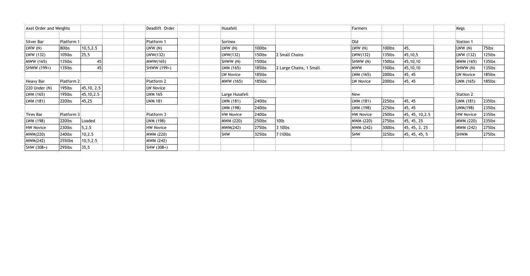| <b>Axel Order and Weights</b> |            |             | Deadlift Order   | Husafell         |        |                         | Farmers          |           |                 | Kegs             |           |
|-------------------------------|------------|-------------|------------------|------------------|--------|-------------------------|------------------|-----------|-----------------|------------------|-----------|
|                               |            |             |                  |                  |        |                         |                  |           |                 |                  |           |
| Silver Bar                    | Platform 1 |             | Platform 1       | Sorinex          |        |                         | Old              |           |                 | Station 1        |           |
| LWW (N)                       | 80lbs      | 10, 5, 2.5  | LWW(N)           | LWW (N)          | 100lbs |                         | LWW(N)           | 100lbs    | 45,             | LWW(N)           | 75lbs     |
| LWW (132)                     | 105lbs     | 25,5        | LWW(132)         | LWW(132)         | 150lbs | 2 Small Chains          | LWW(132)         | 135lbs    | 45, 10, 5       | LWW (132)        | 125lbs    |
| MWW (165)                     | 135lbs     | 45          | MWW(165)         | SHWW (N)         | 150lbs |                         | SHWW (N)         | 150lbs    | 45,10,10        | MWM (165)        | 135lbs    |
| SHWW (199+)                   | 135lbs     | 45          | SHWW (199+)      | LWM (165)        | 185lbs | 2 Large Chains, 1 Small | MWW              | 150lbs    | 45, 10, 10      | SHWW (N)         | 135lbs    |
|                               |            |             |                  | LW Novice        | 185lbs |                         | LWM (165)        | 200lbs    | 45, 45          | LW Novice        | 185lbs    |
| Heavy Bar                     | Platform 2 |             | Platform 2       | MWW (165)        | 185lbs |                         | LW Novice        | 200lbs    | 45, 45          | LWM (165)        | 185lbs    |
| $ 220$ Under $(N)$            | 195lbs     | 45, 10, 2.5 | LW Novice        |                  |        |                         |                  |           |                 |                  |           |
| LWM (165)                     | 195lbs     | 45, 10, 2.5 | <b>LWM 165</b>   | Large Husafell   |        |                         | <b>New</b>       |           |                 | <b>Station 2</b> |           |
| LWM (181)                     | 220lbs     | 45,25       | <b>LWM 181</b>   | LWM (181)        | 240lbs |                         | LWM (181)        | 225lbs    | 45, 45          | LWM (181)        | $235$ lbs |
|                               |            |             |                  | LWM (198)        | 240lbs |                         | LWM (198)        | 225lbs    | 45, 45          | 'LWM(198)        | 235lbs    |
| Tires Bar                     | Platform 3 |             | Platform 3       | <b>HW Novice</b> | 240lbs |                         | <b>HW Novice</b> | 250lbs    | 45, 45, 10, 2.5 | <b>HW Novice</b> | $235$ lbs |
| LWM (198)                     | 220lbs     | Loaded      | LWM (198)        | MWM (220)        | 250lbs | 10lb                    | MWM (220)        | $275$ lbs | 45, 45, 25      | MWM (220)        | $235$ lbs |
| HW Novice                     | 230lbs     | 5,2.5       | <b>HW Novice</b> | MWM(242)         | 275lbs | 3 10lbs                 | MWM (242)        | 300lbs    | 45, 45, 3, 25   | MWM (242)        | 275lbs    |
| MWM(220)                      | 240lbs     | 10, 2.5     | MWM (220)        | <b>SHW</b>       | 325lbs | 7 l10lbs                | <b>SHW</b>       | 325lbs    | 45, 45, 45, 5   | <b>SHWM</b>      | $275$ lbs |
| MWM(242)                      | 255llbs    | 10, 5, 2.5  | MWM (242)        |                  |        |                         |                  |           |                 |                  |           |
| $ SHW (308+)$                 | 295lbs     | 35,5        | SHW (308+)       |                  |        |                         |                  |           |                 |                  |           |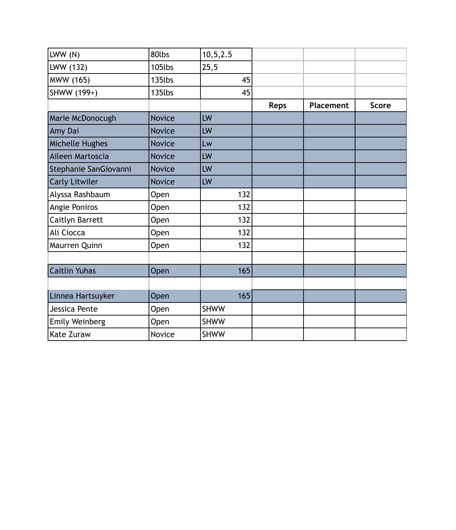| LWW(N)                | 80lbs         | 10, 5, 2.5  |             |           |              |
|-----------------------|---------------|-------------|-------------|-----------|--------------|
| LWW (132)             | 105lbs        | 25,5        |             |           |              |
| MWW (165)             | 135lbs        | 45          |             |           |              |
| SHWW (199+)           | 135lbs        | 45          |             |           |              |
|                       |               |             | <b>Reps</b> | Placement | <b>Score</b> |
| Marie McDonocugh      | <b>Novice</b> | LW          |             |           |              |
| Amy Dai               | <b>Novice</b> | LW          |             |           |              |
| Michelle Hughes       | <b>Novice</b> | Lw          |             |           |              |
| Aileen Martoscia      | <b>Novice</b> | LW          |             |           |              |
| Stephanie SanGiovanni | <b>Novice</b> | LW          |             |           |              |
| <b>Carly Litwiler</b> | <b>Novice</b> | LW          |             |           |              |
| Alyssa Rashbaum       | Open          | 132         |             |           |              |
| Angie Poniros         | Open          | 132         |             |           |              |
| Caitlyn Barrett       | Open          | 132         |             |           |              |
| Ali Ciocca            | Open          | 132         |             |           |              |
| Maurren Quinn         | Open          | 132         |             |           |              |
|                       |               |             |             |           |              |
| <b>Caitlin Yuhas</b>  | Open          | 165         |             |           |              |
|                       |               |             |             |           |              |
| Linnea Hartsuyker     | Open          | 165         |             |           |              |
| Jessica Pente         | Open          | <b>SHWW</b> |             |           |              |
| Emily Weinberg        | Open          | <b>SHWW</b> |             |           |              |
| Kate Zuraw            | Novice        | <b>SHWW</b> |             |           |              |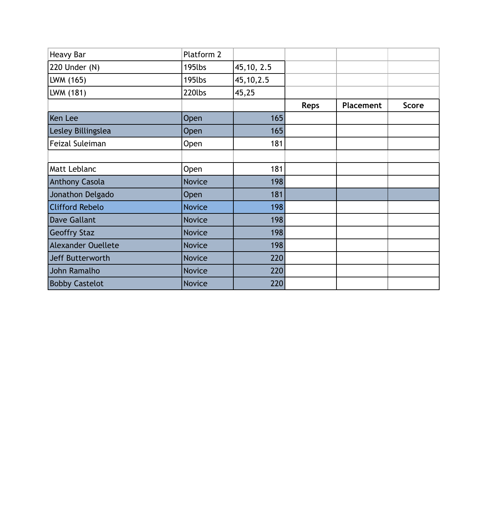| <b>Heavy Bar</b>          | Platform 2    |             |             |           |              |
|---------------------------|---------------|-------------|-------------|-----------|--------------|
| 220 Under (N)             | 195lbs        | 45, 10, 2.5 |             |           |              |
| LWM (165)                 | 195lbs        | 45, 10, 2.5 |             |           |              |
| LWM (181)                 | 220lbs        | 45,25       |             |           |              |
|                           |               |             | <b>Reps</b> | Placement | <b>Score</b> |
| Ken Lee                   | Open          | 165         |             |           |              |
| Lesley Billingslea        | Open          | 165         |             |           |              |
| Feizal Suleiman           | Open          | 181         |             |           |              |
|                           |               |             |             |           |              |
| Matt Leblanc              | Open          | 181         |             |           |              |
| <b>Anthony Casola</b>     | <b>Novice</b> | 198         |             |           |              |
| Jonathon Delgado          | Open          | 181         |             |           |              |
| <b>Clifford Rebelo</b>    | <b>Novice</b> | 198         |             |           |              |
| <b>Dave Gallant</b>       | <b>Novice</b> | 198         |             |           |              |
| <b>Geoffry Staz</b>       | <b>Novice</b> | 198         |             |           |              |
| <b>Alexander Ouellete</b> | <b>Novice</b> | 198         |             |           |              |
| Jeff Butterworth          | <b>Novice</b> | 220         |             |           |              |
| John Ramalho              | <b>Novice</b> | 220         |             |           |              |
| <b>Bobby Castelot</b>     | <b>Novice</b> | 220         |             |           |              |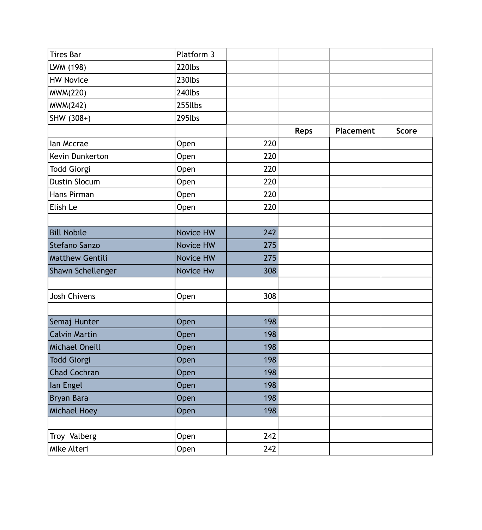| <b>Tires Bar</b>       | Platform 3       |     |             |           |              |
|------------------------|------------------|-----|-------------|-----------|--------------|
| LWM (198)              | 220lbs           |     |             |           |              |
| <b>HW Novice</b>       | 230lbs           |     |             |           |              |
| <b>MWM(220)</b>        | 240lbs           |     |             |           |              |
| <b>MWM(242)</b>        | 255llbs          |     |             |           |              |
| SHW (308+)             | 295lbs           |     |             |           |              |
|                        |                  |     | <b>Reps</b> | Placement | <b>Score</b> |
| lan Mccrae             | Open             | 220 |             |           |              |
| Kevin Dunkerton        | Open             | 220 |             |           |              |
| <b>Todd Giorgi</b>     | Open             | 220 |             |           |              |
| <b>Dustin Slocum</b>   | Open             | 220 |             |           |              |
| Hans Pirman            | Open             | 220 |             |           |              |
| Elish Le               | Open             | 220 |             |           |              |
|                        |                  |     |             |           |              |
| <b>Bill Nobile</b>     | <b>Novice HW</b> | 242 |             |           |              |
| Stefano Sanzo          | Novice HW        | 275 |             |           |              |
| <b>Matthew Gentili</b> | Novice HW        | 275 |             |           |              |
| Shawn Schellenger      | Novice Hw        | 308 |             |           |              |
|                        |                  |     |             |           |              |
| <b>Josh Chivens</b>    | Open             | 308 |             |           |              |
|                        |                  |     |             |           |              |
| Semaj Hunter           | Open             | 198 |             |           |              |
| <b>Calvin Martin</b>   | Open             | 198 |             |           |              |
| Michael Oneill         | Open             | 198 |             |           |              |
| <b>Todd Giorgi</b>     | Open             | 198 |             |           |              |
| Chad Cochran           | Open             | 198 |             |           |              |
| lan Engel              | <b>Open</b>      | 198 |             |           |              |
| <b>Bryan Bara</b>      | Open             | 198 |             |           |              |
| Michael Hoey           | Open             | 198 |             |           |              |
|                        |                  |     |             |           |              |
| Troy Valberg           | Open             | 242 |             |           |              |
| Mike Alteri            | Open             | 242 |             |           |              |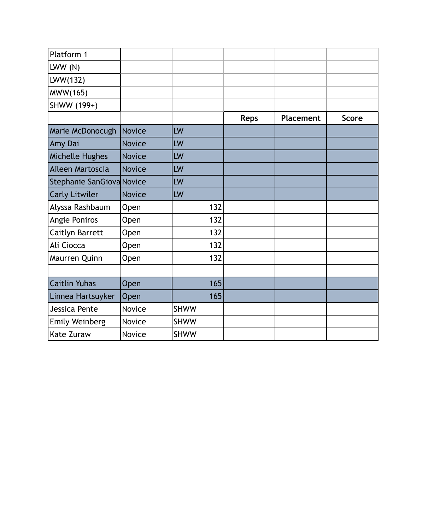| Platform 1                |               |             |             |           |              |
|---------------------------|---------------|-------------|-------------|-----------|--------------|
| LWW(N)                    |               |             |             |           |              |
| LWW(132)                  |               |             |             |           |              |
| MWW(165)                  |               |             |             |           |              |
| SHWW (199+)               |               |             |             |           |              |
|                           |               |             | <b>Reps</b> | Placement | <b>Score</b> |
| Marie McDonocugh          | <b>Novice</b> | LW          |             |           |              |
| Amy Dai                   | <b>Novice</b> | LW          |             |           |              |
| Michelle Hughes           | <b>Novice</b> | LW          |             |           |              |
| Aileen Martoscia          | <b>Novice</b> | LW          |             |           |              |
| Stephanie SanGiova Novice |               | LW          |             |           |              |
| <b>Carly Litwiler</b>     | <b>Novice</b> | LW          |             |           |              |
| Alyssa Rashbaum           | Open          | 132         |             |           |              |
| Angie Poniros             | Open          | 132         |             |           |              |
| Caitlyn Barrett           | Open          | 132         |             |           |              |
| Ali Ciocca                | <b>Open</b>   | 132         |             |           |              |
| Maurren Quinn             | Open          | 132         |             |           |              |
|                           |               |             |             |           |              |
| <b>Caitlin Yuhas</b>      | Open          | 165         |             |           |              |
| Linnea Hartsuyker         | Open          | 165         |             |           |              |
| Jessica Pente             | Novice        | <b>SHWW</b> |             |           |              |
| <b>Emily Weinberg</b>     | Novice        | <b>SHWW</b> |             |           |              |
| Kate Zuraw                | Novice        | <b>SHWW</b> |             |           |              |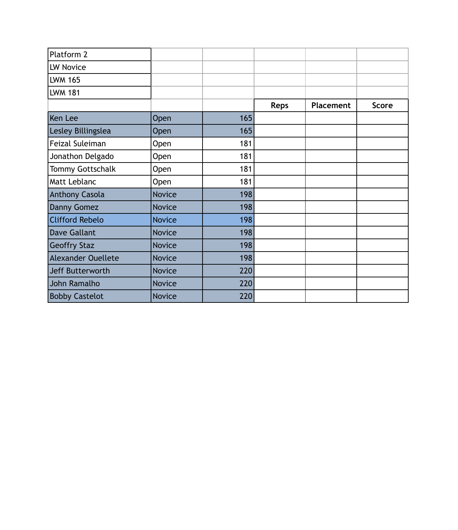|               |     | <b>Reps</b> | Placement | <b>Score</b> |
|---------------|-----|-------------|-----------|--------------|
| Open          | 165 |             |           |              |
| Open          | 165 |             |           |              |
| Open          | 181 |             |           |              |
| Open          | 181 |             |           |              |
| Open          | 181 |             |           |              |
| Open          | 181 |             |           |              |
| <b>Novice</b> | 198 |             |           |              |
| <b>Novice</b> | 198 |             |           |              |
| <b>Novice</b> | 198 |             |           |              |
| <b>Novice</b> | 198 |             |           |              |
| <b>Novice</b> | 198 |             |           |              |
| <b>Novice</b> | 198 |             |           |              |
| <b>Novice</b> | 220 |             |           |              |
| <b>Novice</b> | 220 |             |           |              |
| <b>Novice</b> | 220 |             |           |              |
|               |     |             |           |              |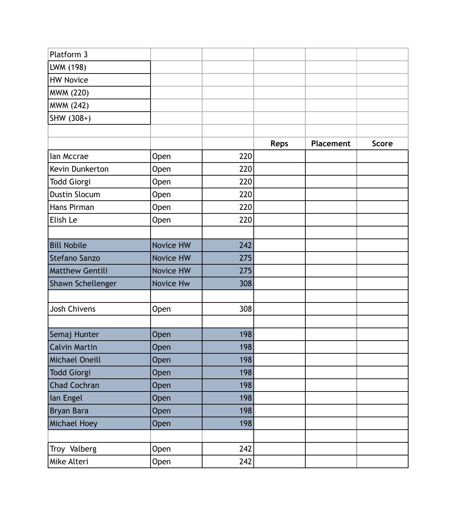| Platform 3             |             |     |             |           |              |
|------------------------|-------------|-----|-------------|-----------|--------------|
| LWM (198)              |             |     |             |           |              |
| <b>HW Novice</b>       |             |     |             |           |              |
| <b>MWM (220)</b>       |             |     |             |           |              |
| <b>MWM (242)</b>       |             |     |             |           |              |
| SHW (308+)             |             |     |             |           |              |
|                        |             |     |             |           |              |
|                        |             |     | <b>Reps</b> | Placement | <b>Score</b> |
| lan Mccrae             | <b>Open</b> | 220 |             |           |              |
| Kevin Dunkerton        | Open        | 220 |             |           |              |
| <b>Todd Giorgi</b>     | Open        | 220 |             |           |              |
| <b>Dustin Slocum</b>   | Open        | 220 |             |           |              |
| Hans Pirman            | Open        | 220 |             |           |              |
| Elish Le               | Open        | 220 |             |           |              |
|                        |             |     |             |           |              |
| <b>Bill Nobile</b>     | Novice HW   | 242 |             |           |              |
| <b>Stefano Sanzo</b>   | Novice HW   | 275 |             |           |              |
| <b>Matthew Gentili</b> | Novice HW   | 275 |             |           |              |
| Shawn Schellenger      | Novice Hw   | 308 |             |           |              |
|                        |             |     |             |           |              |
| <b>Josh Chivens</b>    | Open        | 308 |             |           |              |
|                        |             |     |             |           |              |
| Semaj Hunter           | Open        | 198 |             |           |              |
| <b>Calvin Martin</b>   | Open        | 198 |             |           |              |
| Michael Oneill         | Open        | 198 |             |           |              |
| <b>Todd Giorgi</b>     | Open        | 198 |             |           |              |
| <b>Chad Cochran</b>    | Open        | 198 |             |           |              |
| lan Engel              | Open        | 198 |             |           |              |
| Bryan Bara             | Open        | 198 |             |           |              |
| Michael Hoey           | Open        | 198 |             |           |              |
|                        |             |     |             |           |              |
| Troy Valberg           | Open        | 242 |             |           |              |
| Mike Alteri            | Open        | 242 |             |           |              |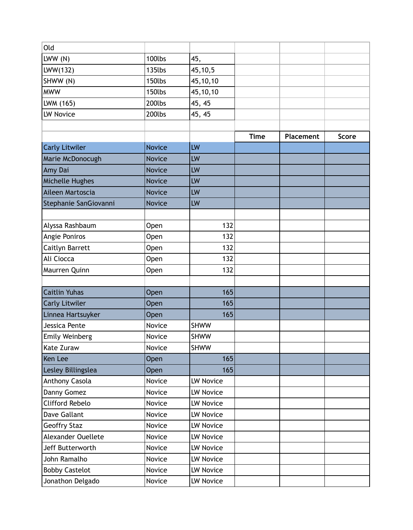| Old                    |               |                  |             |                  |              |
|------------------------|---------------|------------------|-------------|------------------|--------------|
| LWW(N)                 | 100lbs        | 45,              |             |                  |              |
| LWW(132)               | 135lbs        | 45,10,5          |             |                  |              |
| SHWW (N)               | 150lbs        | 45,10,10         |             |                  |              |
| <b>MWW</b>             | 150lbs        | 45,10,10         |             |                  |              |
| LWM (165)              | 200lbs        | 45, 45           |             |                  |              |
| <b>LW Novice</b>       | 200lbs        | 45, 45           |             |                  |              |
|                        |               |                  |             |                  |              |
|                        |               |                  | <b>Time</b> | <b>Placement</b> | <b>Score</b> |
| <b>Carly Litwiler</b>  | <b>Novice</b> | LW               |             |                  |              |
| Marie McDonocugh       | <b>Novice</b> | LW               |             |                  |              |
| Amy Dai                | <b>Novice</b> | LW               |             |                  |              |
| Michelle Hughes        | <b>Novice</b> | LW               |             |                  |              |
| Aileen Martoscia       | <b>Novice</b> | LW               |             |                  |              |
| Stephanie SanGiovanni  | <b>Novice</b> | LW               |             |                  |              |
|                        |               |                  |             |                  |              |
| Alyssa Rashbaum        | Open          | 132              |             |                  |              |
| Angie Poniros          | Open          | 132              |             |                  |              |
| Caitlyn Barrett        | Open          | 132              |             |                  |              |
| Ali Ciocca             | Open          | 132              |             |                  |              |
| Maurren Quinn          | <b>Open</b>   | 132              |             |                  |              |
|                        |               |                  |             |                  |              |
| <b>Caitlin Yuhas</b>   | Open          | 165              |             |                  |              |
| <b>Carly Litwiler</b>  | Open          | 165              |             |                  |              |
| Linnea Hartsuyker      | Open          | 165              |             |                  |              |
| Jessica Pente          | Novice        | <b>SHWW</b>      |             |                  |              |
| Emily Weinberg         | Novice        | <b>SHWW</b>      |             |                  |              |
| Kate Zuraw             | Novice        | <b>SHWW</b>      |             |                  |              |
| Ken Lee                | Open          | 165              |             |                  |              |
| Lesley Billingslea     | Open          | 165              |             |                  |              |
| Anthony Casola         | Novice        | <b>LW Novice</b> |             |                  |              |
| Danny Gomez            | Novice        | LW Novice        |             |                  |              |
| <b>Clifford Rebelo</b> | Novice        | LW Novice        |             |                  |              |
| <b>Dave Gallant</b>    | Novice        | LW Novice        |             |                  |              |
| <b>Geoffry Staz</b>    | Novice        | <b>LW Novice</b> |             |                  |              |
| Alexander Ouellete     | Novice        | LW Novice        |             |                  |              |
| Jeff Butterworth       | Novice        | LW Novice        |             |                  |              |
| John Ramalho           | Novice        | <b>LW Novice</b> |             |                  |              |
| <b>Bobby Castelot</b>  | Novice        | LW Novice        |             |                  |              |
| Jonathon Delgado       | Novice        | LW Novice        |             |                  |              |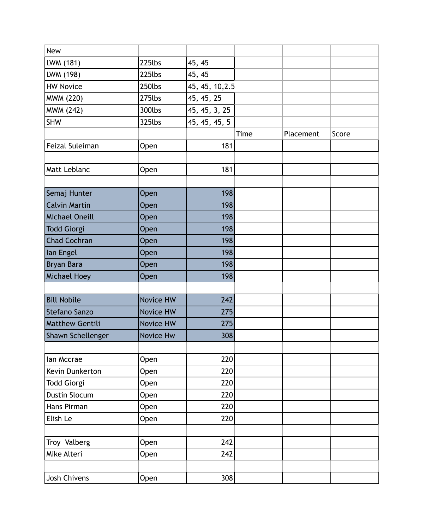| <b>New</b>             |           |                 |      |           |       |
|------------------------|-----------|-----------------|------|-----------|-------|
| LWM (181)              | 225lbs    | 45, 45          |      |           |       |
| LWM (198)              | 225lbs    | 45, 45          |      |           |       |
| <b>HW Novice</b>       | 250lbs    | 45, 45, 10, 2.5 |      |           |       |
| <b>MWM (220)</b>       | 275lbs    | 45, 45, 25      |      |           |       |
| MWM (242)              | 300lbs    | 45, 45, 3, 25   |      |           |       |
| <b>SHW</b>             | 325lbs    | 45, 45, 45, 5   |      |           |       |
|                        |           |                 | Time | Placement | Score |
| Feizal Suleiman        | Open      | 181             |      |           |       |
|                        |           |                 |      |           |       |
| Matt Leblanc           | Open      | 181             |      |           |       |
|                        |           |                 |      |           |       |
| Semaj Hunter           | Open      | 198             |      |           |       |
| <b>Calvin Martin</b>   | Open      | 198             |      |           |       |
| Michael Oneill         | Open      | 198             |      |           |       |
| <b>Todd Giorgi</b>     | Open      | 198             |      |           |       |
| <b>Chad Cochran</b>    | Open      | 198             |      |           |       |
| lan Engel              | Open      | 198             |      |           |       |
| <b>Bryan Bara</b>      | Open      | 198             |      |           |       |
| Michael Hoey           | Open      | 198             |      |           |       |
|                        |           |                 |      |           |       |
| <b>Bill Nobile</b>     | Novice HW | 242             |      |           |       |
| Stefano Sanzo          | Novice HW | 275             |      |           |       |
| <b>Matthew Gentili</b> | Novice HW | 275             |      |           |       |
| Shawn Schellenger      | Novice Hw | 308             |      |           |       |
|                        |           |                 |      |           |       |
| lan Mccrae             | Open      | 220             |      |           |       |
| Kevin Dunkerton        | Open      | 220             |      |           |       |
| <b>Todd Giorgi</b>     | Open      | 220             |      |           |       |
| <b>Dustin Slocum</b>   | Open      | 220             |      |           |       |
| Hans Pirman            | Open      | 220             |      |           |       |
| Elish Le               | Open      | 220             |      |           |       |
|                        |           |                 |      |           |       |
| Troy Valberg           | Open      | 242             |      |           |       |
| Mike Alteri            | Open      | 242             |      |           |       |
|                        |           |                 |      |           |       |
| Josh Chivens           | Open      | 308             |      |           |       |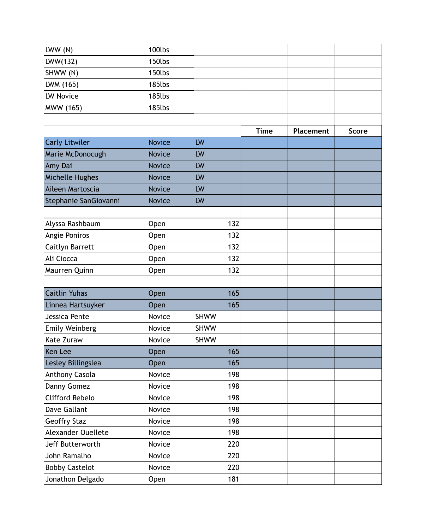| LWW(N)                 | 100lbs        |             |             |           |              |
|------------------------|---------------|-------------|-------------|-----------|--------------|
| LWW(132)               | 150lbs        |             |             |           |              |
| SHWW (N)               | 150lbs        |             |             |           |              |
| LWM (165)              | 185lbs        |             |             |           |              |
| <b>LW Novice</b>       | 185lbs        |             |             |           |              |
| MWW (165)              | 185lbs        |             |             |           |              |
|                        |               |             |             |           |              |
|                        |               |             | <b>Time</b> | Placement | <b>Score</b> |
| <b>Carly Litwiler</b>  | <b>Novice</b> | LW          |             |           |              |
| Marie McDonocugh       | <b>Novice</b> | LW          |             |           |              |
| Amy Dai                | <b>Novice</b> | LW          |             |           |              |
| Michelle Hughes        | <b>Novice</b> | LW          |             |           |              |
| Aileen Martoscia       | <b>Novice</b> | LW          |             |           |              |
| Stephanie SanGiovanni  | <b>Novice</b> | LW          |             |           |              |
|                        |               |             |             |           |              |
| Alyssa Rashbaum        | Open          | 132         |             |           |              |
| Angie Poniros          | Open          | 132         |             |           |              |
| Caitlyn Barrett        | Open          | 132         |             |           |              |
| Ali Ciocca             | Open          | 132         |             |           |              |
| Maurren Quinn          | Open          | 132         |             |           |              |
|                        |               |             |             |           |              |
| <b>Caitlin Yuhas</b>   | Open          | 165         |             |           |              |
| Linnea Hartsuyker      | Open          | 165         |             |           |              |
| Jessica Pente          | Novice        | <b>SHWW</b> |             |           |              |
| <b>Emily Weinberg</b>  | Novice        | <b>SHWW</b> |             |           |              |
| <b>Kate Zuraw</b>      | Novice        | <b>SHWW</b> |             |           |              |
| Ken Lee                | <b>Open</b>   | 165         |             |           |              |
| Lesley Billingslea     | Open          | 165         |             |           |              |
| Anthony Casola         | Novice        | 198         |             |           |              |
| Danny Gomez            | Novice        | 198         |             |           |              |
| <b>Clifford Rebelo</b> | Novice        | 198         |             |           |              |
| Dave Gallant           | Novice        | 198         |             |           |              |
| <b>Geoffry Staz</b>    | Novice        | 198         |             |           |              |
| Alexander Ouellete     | Novice        | 198         |             |           |              |
| Jeff Butterworth       | Novice        | 220         |             |           |              |
| John Ramalho           | Novice        | 220         |             |           |              |
| <b>Bobby Castelot</b>  | Novice        | 220         |             |           |              |
| Jonathon Delgado       | Open          | 181         |             |           |              |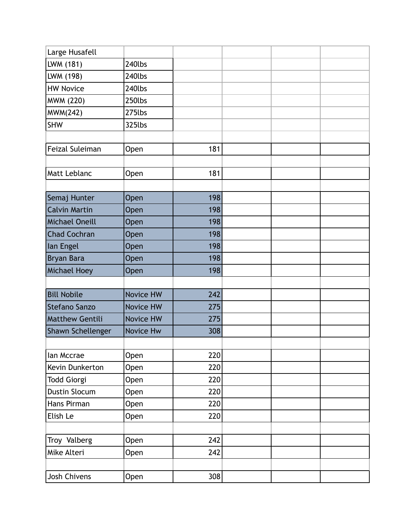| Large Husafell         |                  |     |  |  |
|------------------------|------------------|-----|--|--|
| LWM (181)              | 240lbs           |     |  |  |
| LWM (198)              | 240lbs           |     |  |  |
| <b>HW Novice</b>       | 240lbs           |     |  |  |
| <b>MWM (220)</b>       | 250lbs           |     |  |  |
| <b>MWM(242)</b>        | 275lbs           |     |  |  |
| <b>SHW</b>             | 325lbs           |     |  |  |
|                        |                  |     |  |  |
| Feizal Suleiman        | Open             | 181 |  |  |
|                        |                  |     |  |  |
| Matt Leblanc           | Open             | 181 |  |  |
|                        |                  |     |  |  |
| Semaj Hunter           | Open             | 198 |  |  |
| <b>Calvin Martin</b>   | Open             | 198 |  |  |
| <b>Michael Oneill</b>  | Open             | 198 |  |  |
| <b>Chad Cochran</b>    | Open             | 198 |  |  |
| lan Engel              | Open             | 198 |  |  |
| Bryan Bara             | Open             | 198 |  |  |
|                        |                  |     |  |  |
| <b>Michael Hoey</b>    | Open             | 198 |  |  |
|                        |                  |     |  |  |
| <b>Bill Nobile</b>     | <b>Novice HW</b> | 242 |  |  |
| Stefano Sanzo          | Novice HW        | 275 |  |  |
| <b>Matthew Gentili</b> | Novice HW        | 275 |  |  |
| Shawn Schellenger      | Novice Hw        | 308 |  |  |
|                        |                  |     |  |  |
| lan Mccrae             | Open             | 220 |  |  |
| Kevin Dunkerton        | Open             | 220 |  |  |
| <b>Todd Giorgi</b>     | Open             | 220 |  |  |
| Dustin Slocum          | Open             | 220 |  |  |
| Hans Pirman            | Open             | 220 |  |  |
| Elish Le               | Open             | 220 |  |  |
|                        |                  |     |  |  |
| Troy Valberg           | Open             | 242 |  |  |
| Mike Alteri            | Open             | 242 |  |  |
|                        |                  |     |  |  |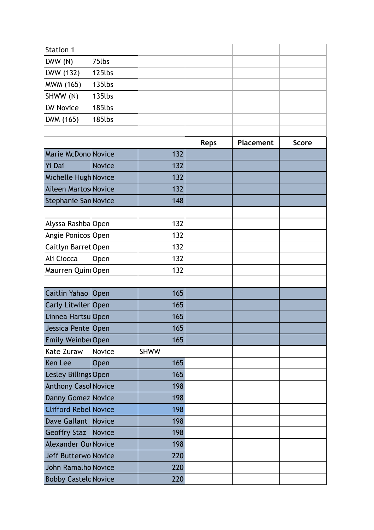| Station 1                   |               |             |             |                  |              |
|-----------------------------|---------------|-------------|-------------|------------------|--------------|
| LWW(N)                      | 75lbs         |             |             |                  |              |
| LWW (132)                   | 125lbs        |             |             |                  |              |
| MWM (165)                   | 135lbs        |             |             |                  |              |
| SHWW (N)                    | 135lbs        |             |             |                  |              |
| LW Novice                   | 185lbs        |             |             |                  |              |
| LWM (165)                   | 185lbs        |             |             |                  |              |
|                             |               |             |             |                  |              |
|                             |               |             | <b>Reps</b> | <b>Placement</b> | <b>Score</b> |
| Marie McDono Novice         |               | 132         |             |                  |              |
| Yi Dai                      | <b>Novice</b> | 132         |             |                  |              |
| Michelle Hugh Novice        |               | 132         |             |                  |              |
| Aileen Martos Novice        |               | 132         |             |                  |              |
| Stephanie San Novice        |               | 148         |             |                  |              |
|                             |               |             |             |                  |              |
| Alyssa Rashba Open          |               | 132         |             |                  |              |
| Angie Ponicos Open          |               | 132         |             |                  |              |
| Caitlyn Barret Open         |               | 132         |             |                  |              |
| Ali Ciocca                  | Open          | 132         |             |                  |              |
| Maurren QuintOpen           |               | 132         |             |                  |              |
|                             |               |             |             |                  |              |
| Caitlin Yahao   Open        |               | 165         |             |                  |              |
| Carly Litwiler Open         |               | 165         |             |                  |              |
| Linnea HartsuOpen           |               | 165         |             |                  |              |
| Jessica Pente Open          |               | 165         |             |                  |              |
| Emily Weinbe Open           |               | 165         |             |                  |              |
| Kate Zuraw                  | Novice        | <b>SHWW</b> |             |                  |              |
| Ken Lee                     | Open          | 165         |             |                  |              |
| Lesley Billings Open        |               | 165         |             |                  |              |
| <b>Anthony Caso Novice</b>  |               | 198         |             |                  |              |
| Danny Gomez Novice          |               | 198         |             |                  |              |
| Clifford Rebel Novice       |               | 198         |             |                  |              |
| Dave Gallant Novice         |               | 198         |             |                  |              |
| Geoffry Staz   Novice       |               | 198         |             |                  |              |
| <b>Alexander Ou Novice</b>  |               | 198         |             |                  |              |
| Jeff Butterwo Novice        |               | 220         |             |                  |              |
| John Ramalho Novice         |               | 220         |             |                  |              |
| <b>Bobby Casteld Novice</b> |               | 220         |             |                  |              |